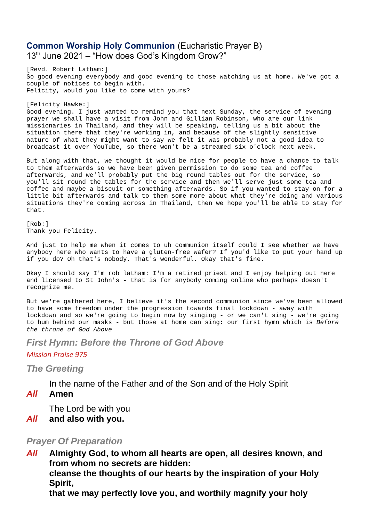### **Common Worship Holy Communion** (Eucharistic Prayer B) 13<sup>th</sup> June 2021 – "How does God's Kingdom Grow?"

[Revd. Robert Latham:] So good evening everybody and good evening to those watching us at home. We've got a couple of notices to begin with. Felicity, would you like to come with yours?

[Felicity Hawke:]

Good evening. I just wanted to remind you that next Sunday, the service of evening prayer we shall have a visit from John and Gillian Robinson, who are our link missionaries in Thailand, and they will be speaking, telling us a bit about the situation there that they're working in, and because of the slightly sensitive nature of what they might want to say we felt it was probably not a good idea to broadcast it over YouTube, so there won't be a streamed six o'clock next week.

But along with that, we thought it would be nice for people to have a chance to talk to them afterwards so we have been given permission to do some tea and coffee afterwards, and we'll probably put the big round tables out for the service, so you'll sit round the tables for the service and then we'll serve just some tea and coffee and maybe a biscuit or something afterwards. So if you wanted to stay on for a little bit afterwards and talk to them some more about what they're doing and various situations they're coming across in Thailand, then we hope you'll be able to stay for that.

[Rob:] Thank you Felicity.

And just to help me when it comes to uh communion itself could I see whether we have anybody here who wants to have a gluten-free wafer? If you'd like to put your hand up if you do? Oh that's nobody. That's wonderful. Okay that's fine.

Okay I should say I'm rob latham: I'm a retired priest and I enjoy helping out here and licensed to St John's - that is for anybody coming online who perhaps doesn't recognize me.

But we're gathered here, I believe it's the second communion since we've been allowed to have some freedom under the progression towards final lockdown - away with lockdown and so we're going to begin now by singing - or we can't sing - we're going to hum behind our masks - but those at home can sing: our first hymn which is *Before the throne of God Above*

*First Hymn: Before the Throne of God Above*

*Mission Praise 975*

*The Greeting*

In the name of the Father and of the Son and of the Holy Spirit *All* **Amen** 

The Lord be with you

### *All* **and also with you.**

### *Prayer Of Preparation*

*All* **Almighty God, to whom all hearts are open, all desires known, and from whom no secrets are hidden:** 

**cleanse the thoughts of our hearts by the inspiration of your Holy Spirit,** 

**that we may perfectly love you, and worthily magnify your holy**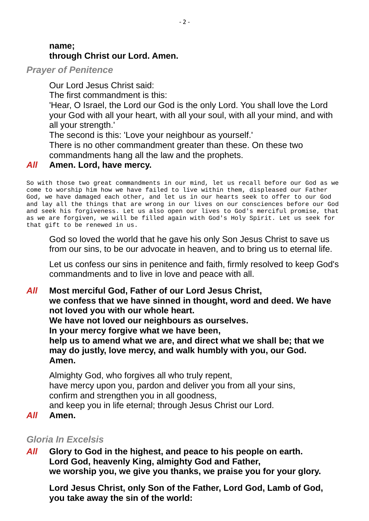## **name; through Christ our Lord. Amen.**

### *Prayer of Penitence*

Our Lord Jesus Christ said: The first commandment is this: 'Hear, O Israel, the Lord our God is the only Lord. You shall love the Lord your God with all your heart, with all your soul, with all your mind, and with all your strength.' The second is this: 'Love your neighbour as yourself.'

There is no other commandment greater than these. On these two

commandments hang all the law and the prophets.

## *All* **Amen. Lord, have mercy.**

So with those two great commandments in our mind, let us recall before our God as we come to worship him how we have failed to live within them, displeased our Father God, we have damaged each other, and let us in our hearts seek to offer to our God and lay all the things that are wrong in our lives on our consciences before our God and seek his forgiveness. Let us also open our lives to God's merciful promise, that as we are forgiven, we will be filled again with God's Holy Spirit. Let us seek for that gift to be renewed in us.

God so loved the world that he gave his only Son Jesus Christ to save us from our sins, to be our advocate in heaven, and to bring us to eternal life.

Let us confess our sins in penitence and faith, firmly resolved to keep God's commandments and to live in love and peace with all.

*All* **Most merciful God, Father of our Lord Jesus Christ, we confess that we have sinned in thought, word and deed. We have not loved you with our whole heart.** 

**We have not loved our neighbours as ourselves.** 

**In your mercy forgive what we have been,** 

**help us to amend what we are, and direct what we shall be; that we may do justly, love mercy, and walk humbly with you, our God. Amen.**

Almighty God, who forgives all who truly repent, have mercy upon you, pardon and deliver you from all your sins, confirm and strengthen you in all goodness, and keep you in life eternal; through Jesus Christ our Lord.

*All* **Amen.** 

# *Gloria In Excelsis*

*All* **Glory to God in the highest, and peace to his people on earth. Lord God, heavenly King, almighty God and Father, we worship you, we give you thanks, we praise you for your glory.**

**Lord Jesus Christ, only Son of the Father, Lord God, Lamb of God, you take away the sin of the world:**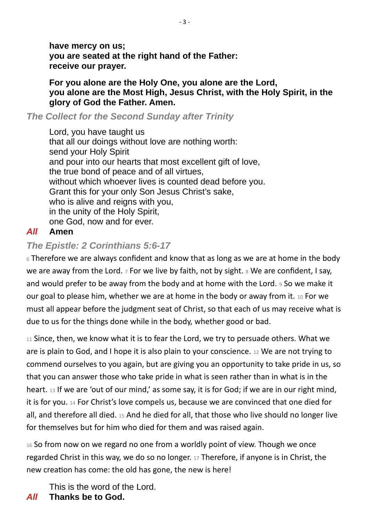**have mercy on us; you are seated at the right hand of the Father: receive our prayer.**

**For you alone are the Holy One, you alone are the Lord, you alone are the Most High, Jesus Christ, with the Holy Spirit, in the glory of God the Father. Amen.**

*The Collect for the Second Sunday after Trinity*

Lord, you have taught us that all our doings without love are nothing worth: send your Holy Spirit and pour into our hearts that most excellent gift of love, the true bond of peace and of all virtues, without which whoever lives is counted dead before you. Grant this for your only Son Jesus Christ's sake, who is alive and reigns with you, in the unity of the Holy Spirit, one God, now and for ever.

## *All* **Amen**

# *The Epistle: 2 Corinthians 5:6-17*

<sup>6</sup> Therefore we are always confident and know that as long as we are at home in the body we are away from the Lord.  $7$  For we live by faith, not by sight.  $8$  We are confident, I say, and would prefer to be away from the body and at home with the Lord. <sup>9</sup> So we make it our goal to please him, whether we are at home in the body or away from it. <sup>10</sup> For we must all appear before the judgment seat of Christ, so that each of us may receive what is due to us for the things done while in the body, whether good or bad.

11 Since, then, we know what it is to fear the Lord, we try to persuade others. What we are is plain to God, and I hope it is also plain to your conscience. <sup>12</sup> We are not trying to commend ourselves to you again, but are giving you an opportunity to take pride in us, so that you can answer those who take pride in what is seen rather than in what is in the heart. 13 If we are 'out of our mind,' as some say, it is for God; if we are in our right mind, it is for you. <sup>14</sup> For Christ's love compels us, because we are convinced that one died for all, and therefore all died. <sup>15</sup> And he died for all, that those who live should no longer live for themselves but for him who died for them and was raised again.

<sup>16</sup> So from now on we regard no one from a worldly point of view. Though we once regarded Christ in this way, we do so no longer. <sup>17</sup> Therefore, if anyone is in Christ, the new creation has come: the old has gone, the new is here!

This is the word of the Lord. *All* **Thanks be to God.**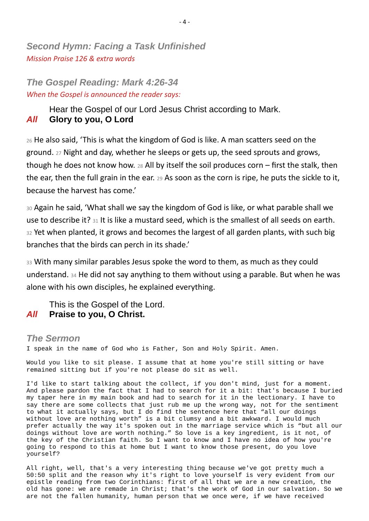# *Second Hymn: Facing a Task Unfinished Mission Praise 126 & extra words*

# *The Gospel Reading: Mark 4:26-34 When the Gospel is announced the reader says:*

## Hear the Gospel of our Lord Jesus Christ according to Mark. *All* **Glory to you, O Lord**

<sup>26</sup> He also said, 'This is what the kingdom of God is like. A man scatters seed on the ground. <sup>27</sup> Night and day, whether he sleeps or gets up, the seed sprouts and grows, though he does not know how. <sup>28</sup> All by itself the soil produces corn – first the stalk, then the ear, then the full grain in the ear. <sup>29</sup> As soon as the corn is ripe, he puts the sickle to it, because the harvest has come.'

<sup>30</sup> Again he said, 'What shall we say the kingdom of God is like, or what parable shall we use to describe it? <sup>31</sup> It is like a mustard seed, which is the smallest of all seeds on earth. 32 Yet when planted, it grows and becomes the largest of all garden plants, with such big branches that the birds can perch in its shade.'

<sup>33</sup> With many similar parables Jesus spoke the word to them, as much as they could understand. <sup>34</sup> He did not say anything to them without using a parable. But when he was alone with his own disciples, he explained everything.

This is the Gospel of the Lord. *All* **Praise to you, O Christ.**

### *The Sermon*

I speak in the name of God who is Father, Son and Holy Spirit. Amen.

Would you like to sit please. I assume that at home you're still sitting or have remained sitting but if you're not please do sit as well.

I'd like to start talking about the collect, if you don't mind, just for a moment. And please pardon the fact that I had to search for it a bit: that's because I buried my taper here in my main book and had to search for it in the lectionary. I have to say there are some collects that just rub me up the wrong way, not for the sentiment to what it actually says, but I do find the sentence here that "all our doings without love are nothing worth" is a bit clumsy and a bit awkward. I would much prefer actually the way it's spoken out in the marriage service which is "but all our doings without love are worth nothing." So love is a key ingredient, is it not, of the key of the Christian faith. So I want to know and I have no idea of how you're going to respond to this at home but I want to know those present, do you love yourself?

All right, well, that's a very interesting thing because we've got pretty much a 50:50 split and the reason why it's right to love yourself is very evident from our epistle reading from two Corinthians: first of all that we are a new creation, the old has gone: we are remade in Christ; that's the work of God in our salvation. So we are not the fallen humanity, human person that we once were, if we have received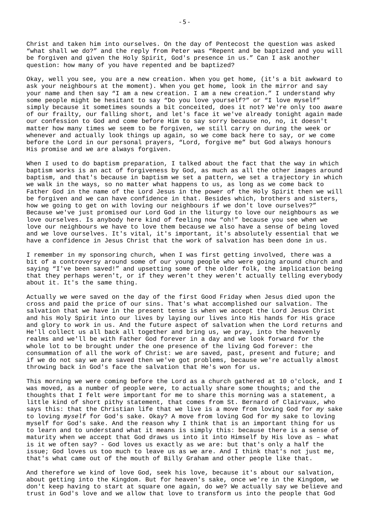Christ and taken him into ourselves. On the day of Pentecost the question was asked "what shall we do?" and the reply from Peter was "Repent and be baptized and you will be forgiven and given the Holy Spirit, God's presence in us." Can I ask another question: how many of you have repented and be baptized?

Okay, well you see, you are a new creation. When you get home, (it's a bit awkward to ask your neighbours at the moment). When you get home, look in the mirror and say your name and then say "I am a new creation. I am a new creation." I understand why some people might be hesitant to say "Do you love yourself?" or "I love myself" simply because it sometimes sounds a bit conceited, does it not? We're only too aware of our frailty, our falling short, and let's face it we've already tonight again made our confession to God and come before Him to say sorry because no, no, it doesn't matter how many times we seem to be forgiven, we still carry on during the week or whenever and actually look things up again, so we come back here to say, or we come before the Lord in our personal prayers, "Lord, forgive me" but God always honours His promise and we are always forgiven.

When I used to do baptism preparation, I talked about the fact that the way in which baptism works is an act of forgiveness by God, as much as all the other images around baptism, and that's because in baptism we set a pattern, we set a trajectory in which we walk in the ways, so no matter what happens to us, as long as we come back to Father God in the name of the Lord Jesus in the power of the Holy Spirit then we will be forgiven and we can have confidence in that. Besides which, brothers and sisters, how we going to get on with loving our neighbours if we don't love ourselves?" Because we've just promised our Lord God in the liturgy to love our neighbours as we love ourselves. Is anybody here kind of feeling now "oh!" because you see when we love our neighbours we have to love them because we also have a sense of being loved and we love ourselves. It's vital, it's important, it's absolutely essential that we have a confidence in Jesus Christ that the work of salvation has been done in us.

I remember in my sponsoring church, when I was first getting involved, there was a bit of a controversy around some of our young people who were going around church and saying "I've been saved!" and upsetting some of the older folk, the implication being that they perhaps weren't, or if they weren't they weren't actually telling everybody about it. It's the same thing.

Actually we were saved on the day of the first Good Friday when Jesus died upon the cross and paid the price of our sins. That's what accomplished our salvation. The salvation that we have in the present tense is when we accept the Lord Jesus Christ and his Holy Spirit into our lives by laying our lives into His hands for His grace and glory to work in us. And the future aspect of salvation when the Lord returns and He'll collect us all back all together and bring us, we pray, into the heavenly realms and we'll be with Father God forever in a day and we look forward for the whole lot to be brought under the one presence of the living God forever: the consummation of all the work of Christ: we are saved, past, present and future; and if we do not say we are saved then we've got problems, because we're actually almost throwing back in God's face the salvation that He's won for us.

This morning we were coming before the Lord as a church gathered at 10 o'clock, and I was moved, as a number of people were, to actually share some thoughts; and the thoughts that I felt were important for me to share this morning was a statement, a little kind of short pithy statement, that comes from St. Bernard of Clairvaux, who says this: that the Christian life that we live is a move from loving God for *my* sake to loving *myself* for God's sake. Okay? A move from loving God for my sake to loving myself for God's sake. And the reason why I think that is an important thing for us to learn and to understand what it means is simply this: because there is a sense of maturity when we accept that God draws us into it into Himself by His love as – what is it we often say? - God loves us exactly as we are: but that's only a half the issue; God loves us too much to leave us as we are. And I think that's not just me, that's what came out of the mouth of Billy Graham and other people like that.

And therefore we kind of love God, seek his love, because it's about our salvation, about getting into the Kingdom. But for heaven's sake, once we're in the Kingdom, we don't keep having to start at square one again, do we? We actually say we believe and trust in God's love and we allow that love to transform us into the people that God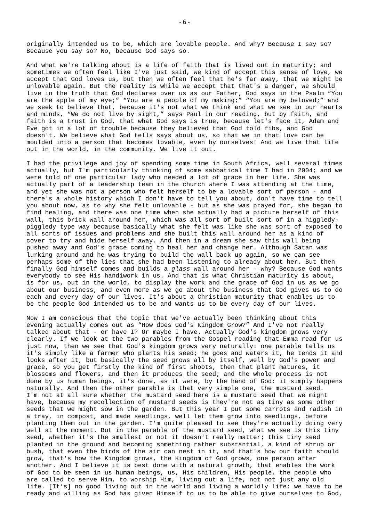originally intended us to be, which are lovable people. And why? Because I say so? Because you say so? No, because God says so.

And what we're talking about is a life of faith that is lived out in maturity; and sometimes we often feel like I've just said, we kind of accept this sense of love, we accept that God loves us, but then we often feel that he's far away, that we might be unlovable again. But the reality is while we accept that that's a danger, we should live in the truth that God declares over us as our Father, God says in the Psalm "You are the apple of my eye;" "You are a people of my making;" "You are my beloved;" and we seek to believe that, because it's not what we think and what we see in our hearts and minds, "We do not live by sight," says Paul in our reading, but by faith, and faith is a trust in God, that what God says is true, because let's face it, Adam and Eve got in a lot of trouble because they believed that God told fibs, and God doesn't. We believe what God tells says about us, so that we in that love can be moulded into a person that becomes lovable, even by ourselves! And we live that life out in the world, in the community. We live it out.

I had the privilege and joy of spending some time in South Africa, well several times actually, but I'm particularly thinking of some sabbatical time I had in 2004; and we were told of one particular lady who needed a lot of grace in her life. She was actually part of a leadership team in the church where I was attending at the time, and yet she was not a person who felt herself to be a lovable sort of person - and there's a whole history which I don't have to tell you about, don't have time to tell you about now, as to why she felt unlovable - but as she was prayed for, she began to find healing, and there was one time when she actually had a picture herself of this wall, this brick wall around her, which was all sort of built sort of in a higgledypiggledy type way because basically what she felt was like she was sort of exposed to all sorts of issues and problems and she built this wall around her as a kind of cover to try and hide herself away. And then in a dream she saw this wall being pushed away and God's grace coming to heal her and change her. Although Satan was lurking around and he was trying to build the wall back up again, so we can see perhaps some of the lies that she had been listening to already about her. But then finally God himself comes and builds a *glass* wall around her – why? Because God wants everybody to see His handiwork in us. And that is what Christian maturity is about, is for us, out in the world, to display the work and the grace of God in us as we go about our business, and even more as we go about the business that God gives us to do each and every day of our lives. It's about a Christian maturity that enables us to be the people God intended us to be and wants us to be every day of our lives.

Now I am conscious that the topic that we've actually been thinking about this evening actually comes out as "How does God's Kingdom Grow?" And I've not really talked about that - or have I? Or maybe I have. Actually God's kingdom grows very clearly. If we look at the two parables from the Gospel reading that Emma read for us just now, then we see that God's kingdom grows very naturally: one parable tells us it's simply like a farmer who plants his seed; he goes and waters it, he tends it and looks after it, but basically the seed grows all by itself, well by God's power and grace, so you get firstly the kind of first shoots, then that plant matures, it blossoms and flowers, and then it produces the seed; and the whole process is not done by us human beings, it's done, as it were, by the hand of God: it simply happens naturally. And then the other parable is that very simple one, the mustard seed. I'm not at all sure whether the mustard seed here is a mustard seed that we might have, because my recollection of mustard seeds is they're not as tiny as some other seeds that we might sow in the garden. But this year I put some carrots and radish in a tray, in compost, and made seedlings, well let them grow into seedlings, before planting them out in the garden. I'm quite pleased to see they're actually doing very well at the moment. But in the parable of the mustard seed, what we see is this tiny seed, whether it's the smallest or not it doesn't really matter; this tiny seed planted in the ground and becoming something rather substantial, a kind of shrub or bush, that even the birds of the air can nest in it, and that's how our faith should grow, that's how the Kingdom grows, the Kingdom of God grows, one person after another. And I believe it is best done with a natural growth, that enables the work of God to be seen in us human beings, us, His children, His people, the people who are called to serve Him, to worship Him, living out a life, not not just any old life. [It's] no good living out in the world and living a worldly life: we have to be ready and willing as God has given Himself to us to be able to give ourselves to God,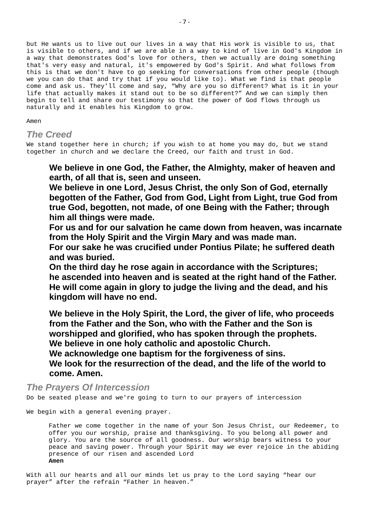but He wants us to live out our lives in a way that His work is visible to us, that is visible to others, and if we are able in a way to kind of live in God's Kingdom in a way that demonstrates God's love for others, then we actually are doing something that's very easy and natural, it's empowered by God's Spirit. And what follows from this is that we don't have to go seeking for conversations from other people (though we you can do that and try that if you would like to). What we find is that people come and ask us. They'll come and say, "Why are you so different? What is it in your life that actually makes it stand out to be so different?" And we can simply then begin to tell and share our testimony so that the power of God flows through us naturally and it enables his Kingdom to grow.

#### Amen

### *The Creed*

We stand together here in church; if you wish to at home you may do, but we stand together in church and we declare the Creed, our faith and trust in God.

**We believe in one God, the Father, the Almighty, maker of heaven and earth, of all that is, seen and unseen.**

**We believe in one Lord, Jesus Christ, the only Son of God, eternally begotten of the Father, God from God, Light from Light, true God from true God, begotten, not made, of one Being with the Father; through him all things were made.** 

**For us and for our salvation he came down from heaven, was incarnate from the Holy Spirit and the Virgin Mary and was made man. For our sake he was crucified under Pontius Pilate; he suffered death and was buried.** 

**On the third day he rose again in accordance with the Scriptures; he ascended into heaven and is seated at the right hand of the Father. He will come again in glory to judge the living and the dead, and his kingdom will have no end.** 

**We believe in the Holy Spirit, the Lord, the giver of life, who proceeds from the Father and the Son, who with the Father and the Son is worshipped and glorified, who has spoken through the prophets. We believe in one holy catholic and apostolic Church.** 

**We acknowledge one baptism for the forgiveness of sins.** 

**We look for the resurrection of the dead, and the life of the world to come. Amen.**

### *The Prayers Of Intercession*

Do be seated please and we're going to turn to our prayers of intercession

We begin with a general evening prayer.

Father we come together in the name of your Son Jesus Christ, our Redeemer, to offer you our worship, praise and thanksgiving. To you belong all power and glory. You are the source of all goodness. Our worship bears witness to your peace and saving power. Through your Spirit may we ever rejoice in the abiding presence of our risen and ascended Lord **Amen**

With all our hearts and all our minds let us pray to the Lord saying "hear our prayer" after the refrain "Father in heaven."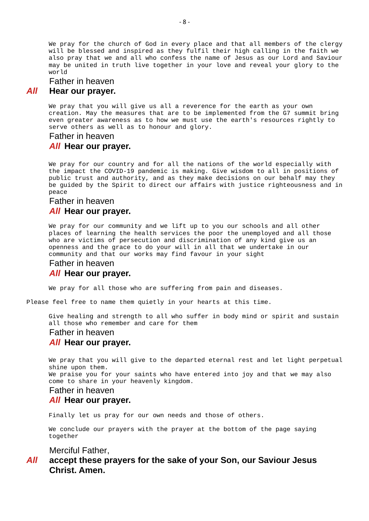We pray for the church of God in every place and that all members of the clergy will be blessed and inspired as they fulfil their high calling in the faith we also pray that we and all who confess the name of Jesus as our Lord and Saviour may be united in truth live together in your love and reveal your glory to the world

#### Father in heaven

### *All* **Hear our prayer.**

We pray that you will give us all a reverence for the earth as your own creation. May the measures that are to be implemented from the G7 summit bring even greater awareness as to how we must use the earth's resources rightly to serve others as well as to honour and glory.

#### Father in heaven

### *All* **Hear our prayer.**

We pray for our country and for all the nations of the world especially with the impact the COVID-19 pandemic is making. Give wisdom to all in positions of public trust and authority, and as they make decisions on our behalf may they be guided by the Spirit to direct our affairs with justice righteousness and in peace

#### Father in heaven

#### *All* **Hear our prayer.**

We pray for our community and we lift up to you our schools and all other places of learning the health services the poor the unemployed and all those who are victims of persecution and discrimination of any kind give us an openness and the grace to do your will in all that we undertake in our community and that our works may find favour in your sight

#### Father in heaven

#### *All* **Hear our prayer.**

We pray for all those who are suffering from pain and diseases.

Please feel free to name them quietly in your hearts at this time.

Give healing and strength to all who suffer in body mind or spirit and sustain all those who remember and care for them

#### Father in heaven

#### *All* **Hear our prayer.**

We pray that you will give to the departed eternal rest and let light perpetual shine upon them.

We praise you for your saints who have entered into joy and that we may also come to share in your heavenly kingdom.

#### Father in heaven

#### *All* **Hear our prayer.**

Finally let us pray for our own needs and those of others.

We conclude our prayers with the prayer at the bottom of the page saying together

### Merciful Father,

### *All* **accept these prayers for the sake of your Son, our Saviour Jesus Christ. Amen.**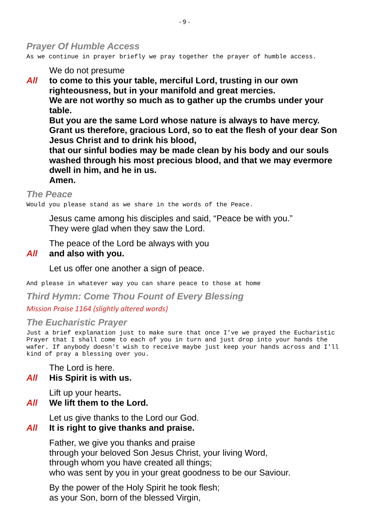### *Prayer Of Humble Access*

As we continue in prayer briefly we pray together the prayer of humble access.

We do not presume

*All* **to come to this your table, merciful Lord, trusting in our own righteousness, but in your manifold and great mercies. We are not worthy so much as to gather up the crumbs under your table.** 

**But you are the same Lord whose nature is always to have mercy. Grant us therefore, gracious Lord, so to eat the flesh of your dear Son Jesus Christ and to drink his blood,** 

**that our sinful bodies may be made clean by his body and our souls washed through his most precious blood, and that we may evermore dwell in him, and he in us.** 

**Amen.**

*The Peace*

Would you please stand as we share in the words of the Peace.

Jesus came among his disciples and said, "Peace be with you." They were glad when they saw the Lord.

The peace of the Lord be always with you

### *All* **and also with you.**

Let us offer one another a sign of peace.

And please in whatever way you can share peace to those at home

*Third Hymn: Come Thou Fount of Every Blessing*

*Mission Praise 1164 (slightly altered words)*

### *The Eucharistic Prayer*

Just a brief explanation just to make sure that once I've we prayed the Eucharistic Prayer that I shall come to each of you in turn and just drop into your hands the wafer. If anybody doesn't wish to receive maybe just keep your hands across and I'll kind of pray a blessing over you.

The Lord is here.

*All* **His Spirit is with us.**

Lift up your hearts**.**

*All* **We lift them to the Lord.**

Let us give thanks to the Lord our God.

### *All* **It is right to give thanks and praise.**

Father, we give you thanks and praise through your beloved Son Jesus Christ, your living Word, through whom you have created all things; who was sent by you in your great goodness to be our Saviour.

By the power of the Holy Spirit he took flesh; as your Son, born of the blessed Virgin,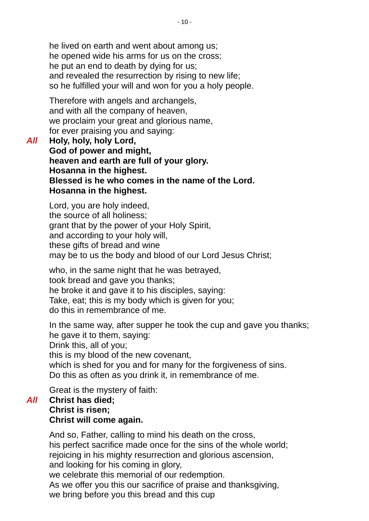he lived on earth and went about among us; he opened wide his arms for us on the cross; he put an end to death by dying for us; and revealed the resurrection by rising to new life; so he fulfilled your will and won for you a holy people.

Therefore with angels and archangels, and with all the company of heaven, we proclaim your great and glorious name, for ever praising you and saying:

*All* **Holy, holy, holy Lord, God of power and might, heaven and earth are full of your glory. Hosanna in the highest. Blessed is he who comes in the name of the Lord. Hosanna in the highest.**

Lord, you are holy indeed, the source of all holiness; grant that by the power of your Holy Spirit, and according to your holy will, these gifts of bread and wine may be to us the body and blood of our Lord Jesus Christ;

who, in the same night that he was betrayed, took bread and gave you thanks; he broke it and gave it to his disciples, saying: Take, eat; this is my body which is given for you; do this in remembrance of me.

In the same way, after supper he took the cup and gave you thanks; he gave it to them, saying: Drink this, all of you; this is my blood of the new covenant, which is shed for you and for many for the forgiveness of sins. Do this as often as you drink it, in remembrance of me.

Great is the mystery of faith:

# *All* **Christ has died; Christ is risen; Christ will come again.**

And so, Father, calling to mind his death on the cross, his perfect sacrifice made once for the sins of the whole world; rejoicing in his mighty resurrection and glorious ascension, and looking for his coming in glory, we celebrate this memorial of our redemption. As we offer you this our sacrifice of praise and thanksgiving, we bring before you this bread and this cup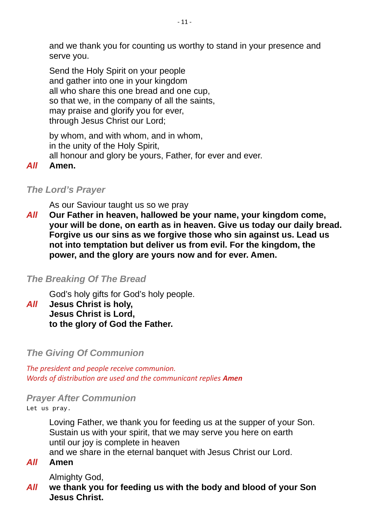and we thank you for counting us worthy to stand in your presence and serve you.

Send the Holy Spirit on your people and gather into one in your kingdom all who share this one bread and one cup, so that we, in the company of all the saints, may praise and glorify you for ever, through Jesus Christ our Lord;

by whom, and with whom, and in whom, in the unity of the Holy Spirit, all honour and glory be yours, Father, for ever and ever.

## *All* **Amen.**

## *The Lord's Prayer*

As our Saviour taught us so we pray

*All* **Our Father in heaven, hallowed be your name, your kingdom come, your will be done, on earth as in heaven. Give us today our daily bread. Forgive us our sins as we forgive those who sin against us. Lead us not into temptation but deliver us from evil. For the kingdom, the power, and the glory are yours now and for ever. Amen.**

# *The Breaking Of The Bread*

God's holy gifts for God's holy people.

*All* **Jesus Christ is holy, Jesus Christ is Lord, to the glory of God the Father.**

# *The Giving Of Communion*

*The president and people receive communion. Words of distribution are used and the communicant replies Amen*

*Prayer After Communion*

Let us pray.

Loving Father, we thank you for feeding us at the supper of your Son. Sustain us with your spirit, that we may serve you here on earth until our joy is complete in heaven

and we share in the eternal banquet with Jesus Christ our Lord.

# *All* **Amen**

Almighty God,

*All* **we thank you for feeding us with the body and blood of your Son Jesus Christ.**